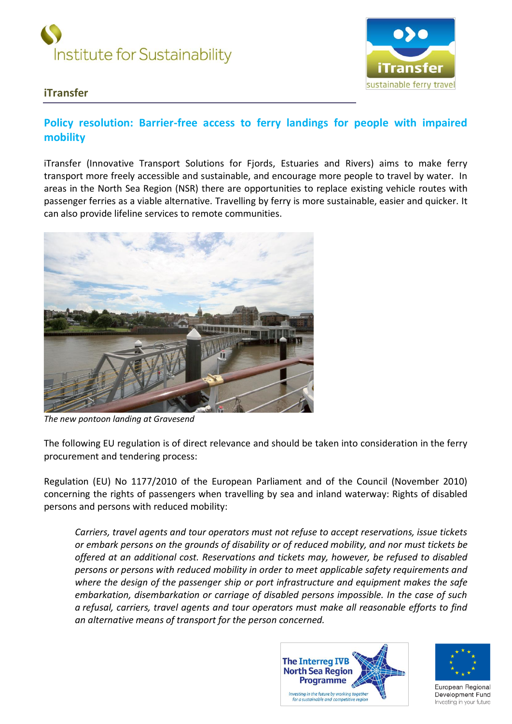



## **iTransfer**

## **Policy resolution: Barrier-free access to ferry landings for people with impaired mobility**

iTransfer (Innovative Transport Solutions for Fjords, Estuaries and Rivers) aims to make ferry transport more freely accessible and sustainable, and encourage more people to travel by water. In areas in the North Sea Region (NSR) there are opportunities to replace existing vehicle routes with passenger ferries as a viable alternative. Travelling by ferry is more sustainable, easier and quicker. It can also provide lifeline services to remote communities.



*The new pontoon landing at Gravesend*

The following EU regulation is of direct relevance and should be taken into consideration in the ferry procurement and tendering process:

Regulation (EU) No 1177/2010 of the European Parliament and of the Council (November 2010) concerning the rights of passengers when travelling by sea and inland waterway: Rights of disabled persons and persons with reduced mobility:

*Carriers, travel agents and tour operators must not refuse to accept reservations, issue tickets or embark persons on the grounds of disability or of reduced mobility, and nor must tickets be offered at an additional cost. Reservations and tickets may, however, be refused to disabled persons or persons with reduced mobility in order to meet applicable safety requirements and where the design of the passenger ship or port infrastructure and equipment makes the safe embarkation, disembarkation or carriage of disabled persons impossible. In the case of such a refusal, carriers, travel agents and tour operators must make all reasonable efforts to find an alternative means of transport for the person concerned.*





European Regional Development Fund Investing in your future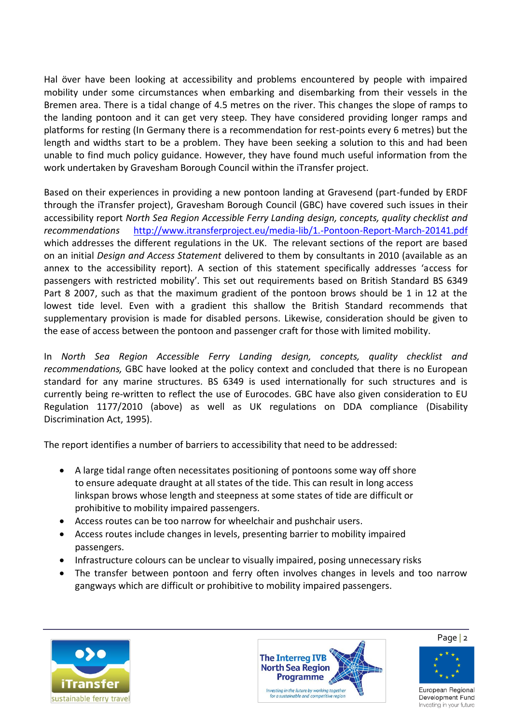Hal ӧver have been looking at accessibility and problems encountered by people with impaired mobility under some circumstances when embarking and disembarking from their vessels in the Bremen area. There is a tidal change of 4.5 metres on the river. This changes the slope of ramps to the landing pontoon and it can get very steep. They have considered providing longer ramps and platforms for resting (In Germany there is a recommendation for rest-points every 6 metres) but the length and widths start to be a problem. They have been seeking a solution to this and had been unable to find much policy guidance. However, they have found much useful information from the work undertaken by Gravesham Borough Council within the iTransfer project.

Based on their experiences in providing a new pontoon landing at Gravesend (part-funded by ERDF through the iTransfer project), Gravesham Borough Council (GBC) have covered such issues in their accessibility report *North Sea Region Accessible Ferry Landing design, concepts, quality checklist and recommendations* <http://www.itransferproject.eu/media-lib/1.-Pontoon-Report-March-20141.pdf> which addresses the different regulations in the UK. The relevant sections of the report are based on an initial *Design and Access Statement* delivered to them by consultants in 2010 (available as an annex to the accessibility report). A section of this statement specifically addresses 'access for passengers with restricted mobility'. This set out requirements based on British Standard BS 6349 Part 8 2007, such as that the maximum gradient of the pontoon brows should be 1 in 12 at the lowest tide level. Even with a gradient this shallow the British Standard recommends that supplementary provision is made for disabled persons. Likewise, consideration should be given to the ease of access between the pontoon and passenger craft for those with limited mobility.

In *North Sea Region Accessible Ferry Landing design, concepts, quality checklist and recommendations,* GBC have looked at the policy context and concluded that there is no European standard for any marine structures. BS 6349 is used internationally for such structures and is currently being re-written to reflect the use of Eurocodes. GBC have also given consideration to EU Regulation 1177/2010 (above) as well as UK regulations on DDA compliance (Disability Discrimination Act, 1995).

The report identifies a number of barriers to accessibility that need to be addressed:

- A large tidal range often necessitates positioning of pontoons some way off shore to ensure adequate draught at all states of the tide. This can result in long access linkspan brows whose length and steepness at some states of tide are difficult or prohibitive to mobility impaired passengers.
- Access routes can be too narrow for wheelchair and pushchair users.
- Access routes include changes in levels, presenting barrier to mobility impaired passengers.
- Infrastructure colours can be unclear to visually impaired, posing unnecessary risks
- The transfer between pontoon and ferry often involves changes in levels and too narrow gangways which are difficult or prohibitive to mobility impaired passengers.





Page | 2



European Regional Development Fund Investing in your future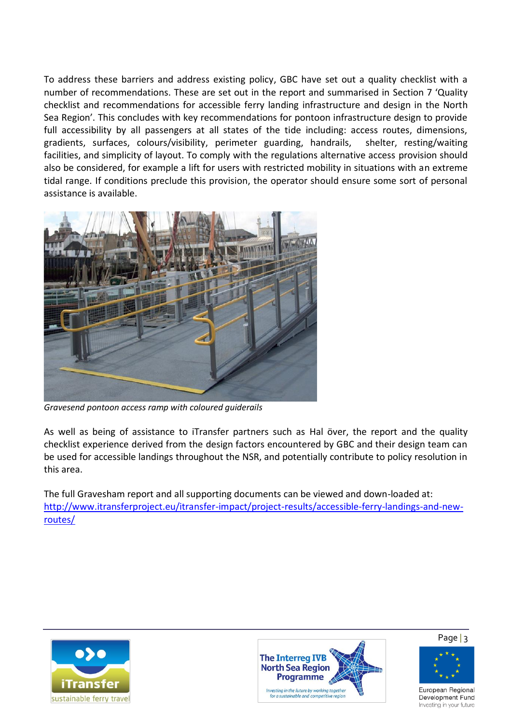To address these barriers and address existing policy, GBC have set out a quality checklist with a number of recommendations. These are set out in the report and summarised in Section 7 'Quality checklist and recommendations for accessible ferry landing infrastructure and design in the North Sea Region'. This concludes with key recommendations for pontoon infrastructure design to provide full accessibility by all passengers at all states of the tide including: access routes, dimensions, gradients, surfaces, colours/visibility, perimeter guarding, handrails, shelter, resting/waiting facilities, and simplicity of layout. To comply with the regulations alternative access provision should also be considered, for example a lift for users with restricted mobility in situations with an extreme tidal range. If conditions preclude this provision, the operator should ensure some sort of personal assistance is available.



*Gravesend pontoon access ramp with coloured guiderails*

As well as being of assistance to iTransfer partners such as Hal över, the report and the quality checklist experience derived from the design factors encountered by GBC and their design team can be used for accessible landings throughout the NSR, and potentially contribute to policy resolution in this area.

The full Gravesham report and all supporting documents can be viewed and down-loaded at: [http://www.itransferproject.eu/itransfer-impact/project-results/accessible-ferry-landings-and-new](http://www.itransferproject.eu/itransfer-impact/project-results/accessible-ferry-landings-and-new-routes/)[routes/](http://www.itransferproject.eu/itransfer-impact/project-results/accessible-ferry-landings-and-new-routes/)







European Regional Development Fund Investing in your future